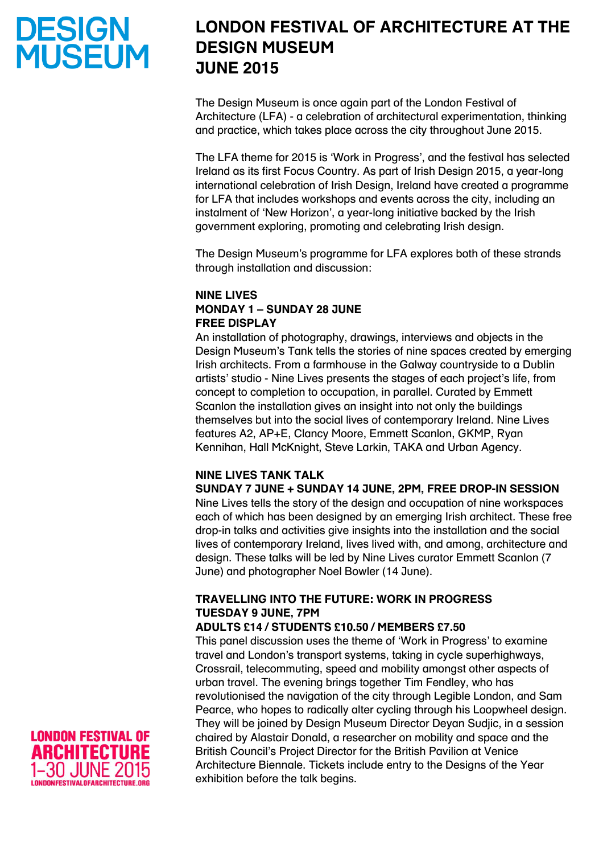# **DESIGN<br>MUSEUM**

# **LONDON FESTIVAL OF ARCHITECTURE AT THE DESIGN MUSEUM JUNE 2015**

The Design Museum is once again part of the London Festival of Architecture (LFA) - a celebration of architectural experimentation, thinking and practice, which takes place across the city throughout June 2015.

The LFA theme for 2015 is 'Work in Progress', and the festival has selected Ireland as its first Focus Country. As part of Irish Design 2015, a year-long international celebration of Irish Design, Ireland have created a programme for LFA that includes workshops and events across the city, including an instalment of 'New Horizon', a year-long initiative backed by the Irish government exploring, promoting and celebrating Irish design.

The Design Museum's programme for LFA explores both of these strands through installation and discussion:

#### **NINE LIVES MONDAY 1 – SUNDAY 28 JUNE FREE DISPLAY**

An installation of photography, drawings, interviews and objects in the Design Museum's Tank tells the stories of nine spaces created by emerging Irish architects. From a farmhouse in the Galway countryside to a Dublin artists' studio - Nine Lives presents the stages of each project's life, from concept to completion to occupation, in parallel. Curated by Emmett Scanlon the installation gives an insight into not only the buildings themselves but into the social lives of contemporary Ireland. Nine Lives features A2, AP+E, Clancy Moore, Emmett Scanlon, GKMP, Ryan Kennihan, Hall McKnight, Steve Larkin, TAKA and Urban Agency.

#### **NINE LIVES TANK TALK**

**SUNDAY 7 JUNE + SUNDAY 14 JUNE, 2PM, FREE DROP-IN SESSION**

Nine Lives tells the story of the design and occupation of nine workspaces each of which has been designed by an emerging Irish architect. These free drop-in talks and activities give insights into the installation and the social lives of contemporary Ireland, lives lived with, and among, architecture and design. These talks will be led by Nine Lives curator Emmett Scanlon (7 June) and photographer Noel Bowler (14 June).

#### **TRAVELLING INTO THE FUTURE: WORK IN PROGRESS TUESDAY 9 JUNE, 7PM**

#### **ADULTS £14 / STUDENTS £10.50 / MEMBERS £7.50**

This panel discussion uses the theme of 'Work in Progress' to examine travel and London's transport systems, taking in cycle superhighways, Crossrail, telecommuting, speed and mobility amongst other aspects of urban travel. The evening brings together Tim Fendley, who has revolutionised the navigation of the city through Legible London, and Sam Pearce, who hopes to radically alter cycling through his Loopwheel design. They will be joined by Design Museum Director Deyan Sudjic, in a session chaired by Alastair Donald, a researcher on mobility and space and the British Council's Project Director for the British Pavilion at Venice Architecture Biennale. Tickets include entry to the Designs of the Year exhibition before the talk begins.

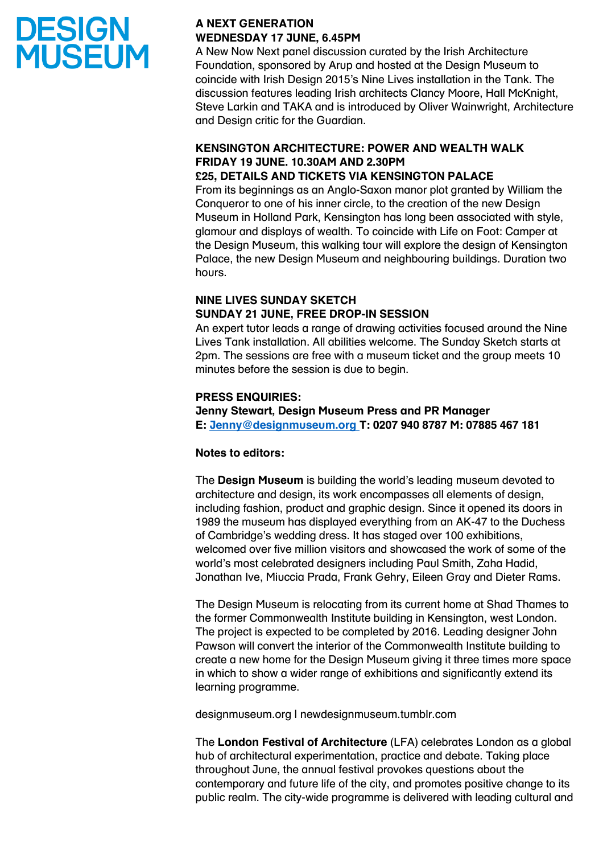# **DESIGN<br>MUSEUM**

### **A NEXT GENERATION WEDNESDAY 17 JUNE, 6.45PM**

A New Now Next panel discussion curated by the Irish Architecture Foundation, sponsored by Arup and hosted at the Design Museum to coincide with Irish Design 2015's Nine Lives installation in the Tank. The discussion features leading Irish architects Clancy Moore, Hall McKnight, Steve Larkin and TAKA and is introduced by Oliver Wainwright, Architecture and Design critic for the Guardian.

## **KENSINGTON ARCHITECTURE: POWER AND WEALTH WALK FRIDAY 19 JUNE. 10.30AM AND 2.30PM**

### **£25, DETAILS AND TICKETS VIA KENSINGTON PALACE**

From its beginnings as an Anglo-Saxon manor plot granted by William the Conqueror to one of his inner circle, to the creation of the new Design Museum in Holland Park, Kensington has long been associated with style, glamour and displays of wealth. To coincide with Life on Foot: Camper at the Design Museum, this walking tour will explore the design of Kensington Palace, the new Design Museum and neighbouring buildings. Duration two hours.

#### **NINE LIVES SUNDAY SKETCH SUNDAY 21 JUNE, FREE DROP-IN SESSION**

An expert tutor leads a range of drawing activities focused around the Nine Lives Tank installation. All abilities welcome. The Sunday Sketch starts at 2pm. The sessions are free with a museum ticket and the group meets 10 minutes before the session is due to begin.

### **PRESS ENQUIRIES:**

**Jenny Stewart, Design Museum Press and PR Manager E: [Jenny@designmuseum.org](mailto:Jenny@designmuseum.org) T: 0207 940 8787 M: 07885 467 181**

#### **Notes to editors:**

The **Design Museum** is building the world's leading museum devoted to architecture and design, its work encompasses all elements of design, including fashion, product and graphic design. Since it opened its doors in 1989 the museum has displayed everything from an AK-47 to the Duchess of Cambridge's wedding dress. It has staged over 100 exhibitions, welcomed over five million visitors and showcased the work of some of the world's most celebrated designers including Paul Smith, Zaha Hadid, Jonathan Ive, Miuccia Prada, Frank Gehry, Eileen Gray and Dieter Rams.

The Design Museum is relocating from its current home at Shad Thames to the former Commonwealth Institute building in Kensington, west London. The project is expected to be completed by 2016. Leading designer John Pawson will convert the interior of the Commonwealth Institute building to create a new home for the Design Museum giving it three times more space in which to show a wider range of exhibitions and significantly extend its learning programme.

designmuseum.org | newdesignmuseum.tumblr.com

The **London Festival of Architecture** (LFA) celebrates London as a global hub of architectural experimentation, practice and debate. Taking place throughout June, the annual festival provokes questions about the contemporary and future life of the city, and promotes positive change to its public realm. The city-wide programme is delivered with leading cultural and